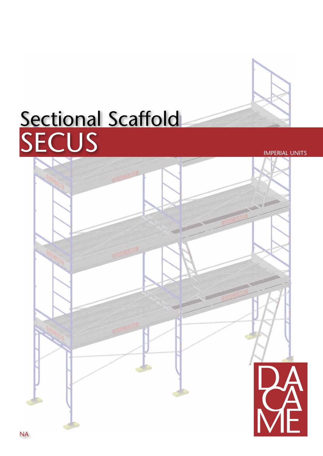# Sectional Scaffold SECUS **IMPERIAL UNITS**

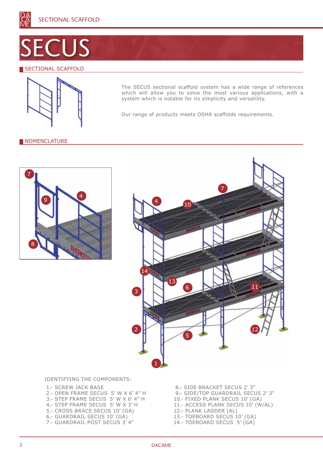

# ECUS

# **SECTIONAL SCAFFOLD**



The SECUS sectional scaffold system has a wide range of references which will allow you to solve the most various applications, with a system which is notable for its simplicity and versatility.

Our range of products meets OSHA scaffolds requirements.

## **NOMENCLATURE**





#### Identifying The Components:

- 1.- SCREW JACK BASE 2.- OPEN FRAME SECUS 5' W x 6' 4" H 3.- STEP FRAME SECUS 5' W x 6' 4" H 4.- STEP FRAME SECUS 5' W x 3' H 5.- CROSS BRACE SECUS 10' (GA) 6.- GUARDRAIL SECUS 10' (GA) 7.- GUARDRAIL POST SECUS 3' 4"
- 8.- SIDE BRACKET SECUS 2' 3"
- 9.- SIDE/TOP GUARDRAIL SECUS 2' 3"
- 10.- FIXED PLANK SECUS 10' (GA)
- 11.- ACCESS PLANK SECUS 10' (W/AL)
- 12.- PLANK LADDER (AL)
- 13.- TOEBOARD SECUS 10' (GA)
- 14.- TOEBOARD SECUS 5' (GA)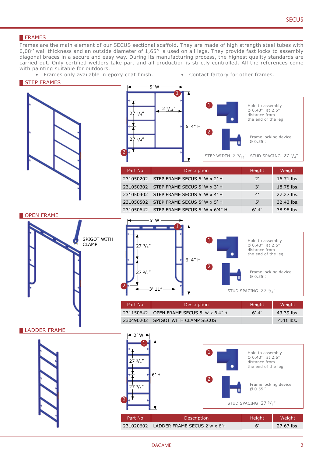## **FRAMES**

Frames are the main element of our SECUS sectional scaffold. They are made of high strength steel tubes with 0,08'' wall thickness and an outside diameter of 1,65'' is used on all legs. They provide fast locks to assembly diagonal braces in a secure and easy way. During its manufacturing process, the highest quality standards are carried out. Only certified welders take part and all production is strictly controlled. All the references come with painting suitable for outdoors.

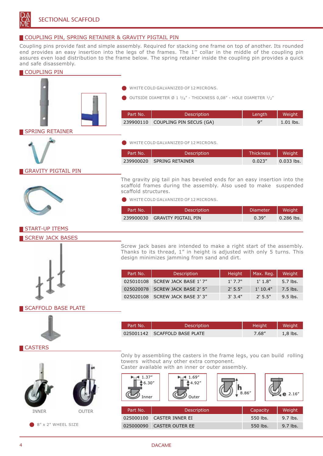

# COUPLING PIN, SPRING RETAINER & GRAVITY PIGTAIL PIN

Coupling pins provide fast and simple assembly. Required for stacking one frame on top of another. Its rounded end provides an easy insertion into the legs of the frames. The 1'' collar in the middle of the coupling pin assures even load distribution to the frame below. The spring retainer inside the coupling pin provides a quick and safe disassembly.

## COUPLING PIN



WHITE COLD GALVANIZED OF 12 MICRONS.

OUTSIDE DIAMETER Ø 1  $\frac{3}{8}$ " - THICKNESS 0,08" - HOLE DIAMETER  $\frac{1}{2}$ "

| Part No. | <b>Description</b>                | Lenath | Weight      |
|----------|-----------------------------------|--------|-------------|
|          | 239900110 COUPLING PIN SECUS (GA) |        | $1.01$ lbs. |

# SPRING RETAINER



White cold galvanized of 12 microns.

| Part No. | <b>Description</b>        | Thickness | Weight <sup>1</sup> |
|----------|---------------------------|-----------|---------------------|
|          | 239900020 SPRING RETAINER | 0.023''   | $0.033$ lbs.        |

# GRAVITY PIGTAIL PIN



The gravity pig tail pin has beveled ends for an easy insertion into the scaffold frames during the assembly. Also used to make suspended scaffold structures.

WHITE COLD GALVANIZED OF 12 MICRONS.

| Part No. | <b>Description</b>            | <b>Diameter</b> | Weight       |
|----------|-------------------------------|-----------------|--------------|
|          | 239900030 GRAVITY PIGTAIL PIN | 0.39''          | $0.286$ lbs. |

# START-UP ITEMS

## SCREW JACK BASES



| Part No. | <b>Description</b>              | Height    | Max. Reg. | Weight     |
|----------|---------------------------------|-----------|-----------|------------|
|          | 025010108 SCREW JACK BASE 1'7"  | $1'$ 7.7" | 1'1.8"    | $5.7$ lbs. |
|          | 025020078 SCREW JACK BASE 2' 5" | $2'$ 5.5" | 1'10.4"   | 7.5 lbs.   |
|          | 025020108 SCREW JACK BASE 3' 3" | 3'3.4"    | 2'5.5"    | $9.5$ lbs. |

# SCAFFOLD BASE PLATE



| Part No.' | <b>Description</b>            | <b>Height</b> | Weight     |
|-----------|-------------------------------|---------------|------------|
|           | 025001142 SCAFFOLD BASE PLATE | 7.68"         | $1.8$ lbs. |

#### **CASTERS**





 $8'' \times 2''$  WHEEL SIZE

Only by assembling the casters in the frame legs, you can build rolling towers without any other extra component. Caster available with an inner or outer assembly.

 $1.37$ 1.69"  $*6.30"$  $4.92"$ h  $8.86''$   $\vee$  e 2.16" Inner Outer Part No. No. 2 Description 2 | Capacity Weight 025000100 CASTER INNER EI 550 lbs. 9.7 lbs.

025000090 CASTER OUTER EE 550 lbs. 9.7 lbs.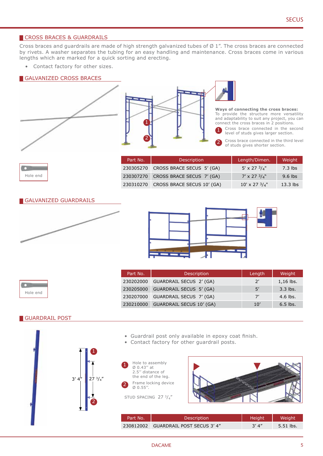# CROSS BRACES & GUARDRAILS

Cross braces and guardrails are made of high strength galvanized tubes of  $\emptyset$  1". The cross braces are connected by rivets. A washer separates the tubing for an easy handling and maintenance. Cross braces come in various lengths which are marked for a quick sorting and erecting.

Contact factory for other sizes.

## GALVANIZED CROSS BRACES





**Ways of connecting the cross braces:** To provide the structure more versatility and adaptability to suit any project, you can connect the cross braces in 2 positions.

- Cross brace connected in the second level of studs gives larger section.
- Cross brace connected in the third level of studs gives shorter section. 2

|  | Hole end |
|--|----------|

| Part No.  | <b>Description</b>                  | Length/Dimen.          | Weight     |
|-----------|-------------------------------------|------------------------|------------|
| 230305270 | CROSS BRACE SECUS 5' (GA)           | 5' x 27 $3/4$ "        | $7.3$ lbs  |
|           | 230307270 CROSS BRACE SECUS 7' (GA) | $7' \times 27'3/4$ "   | $9.6$ lbs  |
| 230310270 | CROSS BRACE SECUS 10' (GA)          | $10' \times 27^{3}/4"$ | $13.3$ lbs |

#### GALVANIZED GUARDRAILS





**The Company of the Company** Hole end

| Part No.  | Description                     | Length | Weight      |
|-----------|---------------------------------|--------|-------------|
| 230202000 | GUARDRAIL SECUS 2' (GA)         | 2'     | $1,16$ lbs. |
| 230205000 | GUARDRAIL SECUS 5' (GA)         | 5'     | $3.3$ lbs.  |
| 230207000 | GUARDRAIL SECUS 7' (GA)         | 7'     | $4.6$ lbs.  |
| 230210000 | <b>GUARDRAIL SECUS 10' (GA)</b> | 10'    | $6.5$ lbs.  |

#### GUARDRAIL POST

- Guardrail post only available in epoxy coat finish.
- Contact factory for other guardrail posts.



1



| Part No. | <b>Description</b>                   | Height | Weight'   |
|----------|--------------------------------------|--------|-----------|
|          | 230812002 GUARDRAIL POST SECUS 3' 4" | 3′ 4″  | 5.51 lbs. |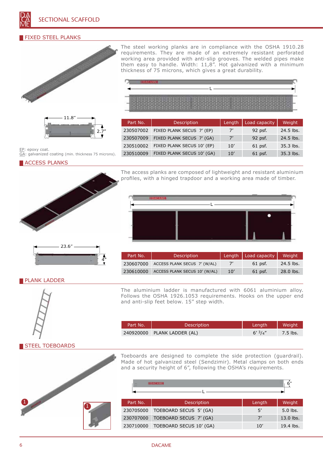# FIXED STEEL PLANKS



11.8" 2.7"

EP: epoxy coat. GA: galvanized coating (min. thickness 75 microns).

**ACCESS PLANKS** 



4"

The steel working planks are in compliance with the OSHA 1910.28 requirements. They are made of an extremely resistant perforated working area provided with anti-slip grooves. The welded pipes make them easy to handle. Width: 11,8". Hot galvanized with a minimum thickness of 75 microns, which gives a great durability.

| <b>DATE ON THE DATE OF THE SHEEP AND THE DATE OF THE SAME</b><br>LAME AND AND ARE AND THE RIGHT<br>IN INTHE REPORT OF DAY ON THE REAL<br><b>CONDITIONS TO AN OVER \$150 PARTIES BASE TO</b><br>their state was the court of the country of the country of the country of the coun- |
|------------------------------------------------------------------------------------------------------------------------------------------------------------------------------------------------------------------------------------------------------------------------------------|
| and the company of the company of the company of the company of the company of the company of the company of the<br>SHOE BANK FOR SHOE WAS FOUR FOUR STAR FOR SHOE.                                                                                                                |

| Part No.  | Description                | Length | Load capacity | Weight    |
|-----------|----------------------------|--------|---------------|-----------|
| 230507002 | FIXED PLANK SECUS 7' (EP)  | 7'     | 92 psf.       | 24.5 lbs. |
| 230507009 | FIXED PLANK SECUS 7' (GA)  | 7'     | 92 psf.       | 24.5 lbs. |
| 230510002 | FIXED PLANK SECUS 10' (EP) | 10'    | $61$ psf.     | 35.3 lbs. |
| 230510009 | FIXED PLANK SECUS 10' (GA) | 10'    | $61$ psf.     | 35.3 lbs. |

The access planks are composed of lightweight and resistant aluminium profiles, with a hinged trapdoor and a working area made of timber.



| Part No.  | <b>Description</b>            |     | Length   Load capacity | Weight      |
|-----------|-------------------------------|-----|------------------------|-------------|
| 230607000 | ACCESS PLANK SECUS 7' (W/AL)  |     | 61 psf.                | $24.5$ lbs. |
| 230610000 | ACCESS PLANK SECUS 10' (W/AL) | 10' | 61 psf.                | $28.0$ lbs. |

## PLANK LADDER



The aluminium ladder is manufactured with 6061 aluminium alloy. Follows the OSHA 1926.1053 requirements. Hooks on the upper end and anti-slip feet below. 15" step width.

| Part No. | <b>Description</b>          | Length  | Weight   |
|----------|-----------------------------|---------|----------|
|          | 240920000 PLANK LADDER (AL) | 6'3/4'' | 7.5 lbs. |

STEEL TOEBOARDS



Toeboards are designed to complete the side protection (guardrail). Made of hot galvanized steel (Sendzimir). Metal clamps on both ends and a security height of 6", following the OSHA's requirements.

| <b>IDACAME</b> |                         |        | 6"        |  |
|----------------|-------------------------|--------|-----------|--|
|                |                         |        |           |  |
| Part No.       | Description             | Length | Weight    |  |
| 230705000      | TOEBOARD SECUS 5' (GA)  | 5'     | 5.0 lbs.  |  |
| 230707000      | TOEBOARD SECUS 7' (GA)  | 7'     | 13.0 lbs. |  |
| 230710000      | TOEBOARD SECUS 10' (GA) | 10'    | 19.4 lbs. |  |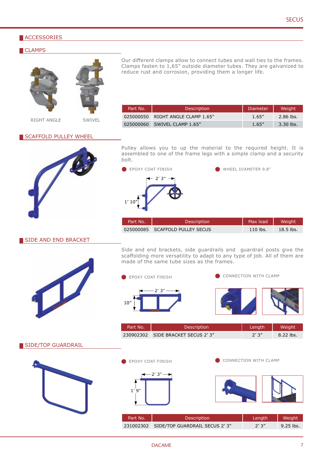# **ACCESSORIES**

#### **CLAMPS**





Our different clamps allow to connect tubes and wall ties to the frames. Clamps fasten to  $1,65$ " outside diameter tubes. They are galvanized to reduce rust and corrosion, providing them a longer life.

RIGHT ANGLE SWIVEL

| Part No.  | <b>Description</b>      | Diameter | Weight    |
|-----------|-------------------------|----------|-----------|
| 025000050 | RIGHT ANGLE CLAMP 1.65" | 1.65"    | 2.86 lbs. |
| 025000060 | SWIVEL CLAMP 1.65"      | 1.65''   | 3.30 lbs. |

#### **SCAFFOLD PULLEY WHEEL**



Pulley allows you to up the material to the required height. It is assembled to one of the frame legs with a simple clamp and a security bolt.



| Part No. | <b>Description</b>              | Max load   | Weiaht'     |
|----------|---------------------------------|------------|-------------|
|          | 025000085 SCAFFOLD PULLEY SECUS | $110$ lbs. | $18.5$ lbs. |

## SIDE AND END BRACKET



Side and end brackets, side guardrails and guardrail posts give the scaffolding more versatility to adapt to any type of job. All of them are made of the same tube sizes as the frames.



| Part No. | <b>Description</b>                 | Lenath | Weight    |
|----------|------------------------------------|--------|-----------|
|          | 230902302 SIDE BRACKET SECUS 2' 3" | 2'3''  | 8.22 lbs. |

SIDE/TOP GUARDRAIL



EPOXY COAT FINISH



CONNECTION WITH CLAMP

| Part No. | <b>Description</b>                      | Lenath | Weight      |
|----------|-----------------------------------------|--------|-------------|
|          | 231002302 SIDE/TOP GUARDRAIL SECUS 2'3" | 2'3''  | $9.25$ lbs. |